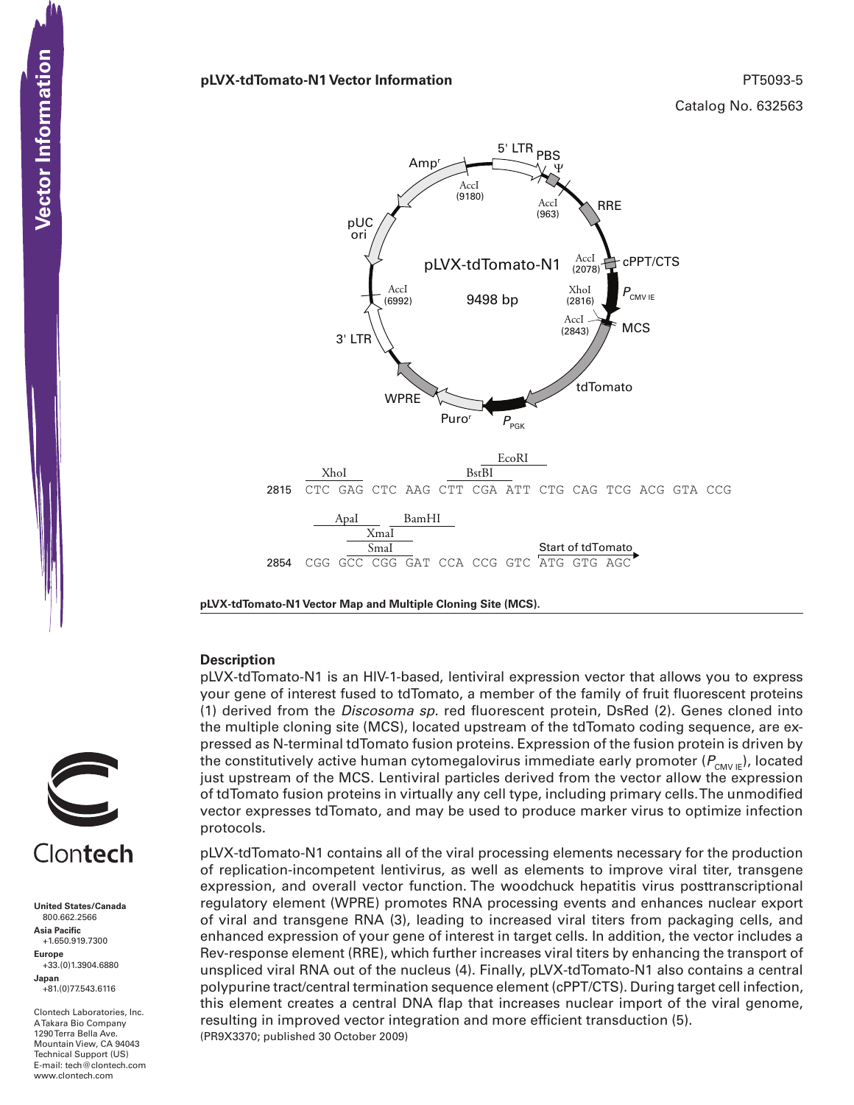### **pLVX-tdTomato-N1 Vector Information** PT5093-5

Catalog No. 632563

pLVX-tdTomato-N1 9498 bp tdTomato Amp<sup>r</sup>  $P_{\text{new}}$ 5' LTR <sub>PBS</sub> 3' LTR RRE Ψ WPRE **MCS** cPPT/CTS  $P_{_{\sf{CMVIE}}}$  $P_{\text{PGK}}$ pUC ori XhoI (2816) AccI (963) AccI (2078) AccI (2843) AccI (6992) AccI (9180) 2815 CTC GAG CTC AAG CTT CGA ATT CTG CAG TCG ACG GTA CCG EcoRI XhoI BstBI 2854 CGG GCC CGG GAT CCA CCG GTC ATG GTG AGC Start of tdTomato ApaI BamHI XmaI SmaI

**pLVX-tdTomato-N1 Vector Map and Multiple Cloning Site (MCS).**

### **Description**

pLVX-tdTomato-N1 is an HIV-1-based, lentiviral expression vector that allows you to express your gene of interest fused to tdTomato, a member of the family of fruit fluorescent proteins (1) derived from the *Discosoma sp.* red fluorescent protein, DsRed (2). Genes cloned into the multiple cloning site (MCS), located upstream of the tdTomato coding sequence, are expressed as N-terminal tdTomato fusion proteins. Expression of the fusion protein is driven by the constitutively active human cytomegalovirus immediate early promoter ( $P_{\text{CMV/E}}$ ), located just upstream of the MCS. Lentiviral particles derived from the vector allow the expression of tdTomato fusion proteins in virtually any cell type, including primary cells. The unmodified vector expresses tdTomato, and may be used to produce marker virus to optimize infection protocols.

(PR9X3370; published 30 October 2009) pLVX-tdTomato-N1 contains all of the viral processing elements necessary for the production of replication-incompetent lentivirus, as well as elements to improve viral titer, transgene expression, and overall vector function. The woodchuck hepatitis virus posttranscriptional regulatory element (WPRE) promotes RNA processing events and enhances nuclear export of viral and transgene RNA (3), leading to increased viral titers from packaging cells, and enhanced expression of your gene of interest in target cells. In addition, the vector includes a Rev-response element (RRE), which further increases viral titers by enhancing the transport of unspliced viral RNA out of the nucleus (4). Finally, pLVX-tdTomato-N1 also contains a central polypurine tract/central termination sequence element (cPPT/CTS). During target cell infection, this element creates a central DNA flap that increases nuclear import of the viral genome, resulting in improved vector integration and more efficient transduction (5).



**United States/Canada** 800.662.2566 **Asia Pacific** +1.650.919.7300 **Europe** +33.(0)1.3904.6880 **Japan** +81.(0)77.543.6116

Clontech Laboratories, Inc. A Takara Bio Company 1290 Terra Bella Ave. Mountain View, CA 94043 Technical Support (US) E-mail: tech@clontech.com<br>www.clontech.com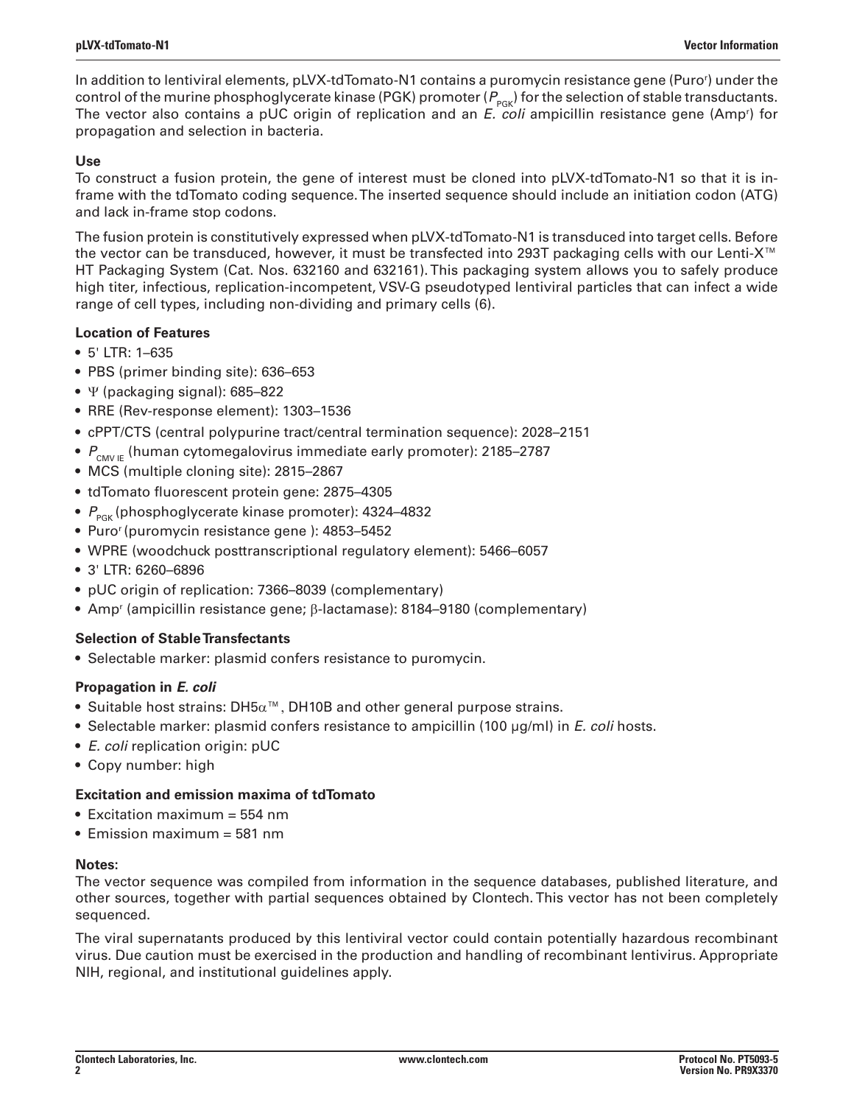In addition to lentiviral elements, pLVX-tdTomato-N1 contains a puromycin resistance gene (Puror ) under the control of the murine phosphoglycerate kinase (PGK) promoter ( $P_{PGR}$ ) for the selection of stable transductants. The vector also contains a pUC origin of replication and an *E. coli* ampicillin resistance gene (Ampr ) for propagation and selection in bacteria.

## **Use**

To construct a fusion protein, the gene of interest must be cloned into pLVX-tdTomato-N1 so that it is inframe with the tdTomato coding sequence. The inserted sequence should include an initiation codon (ATG) and lack in-frame stop codons.

The fusion protein is constitutively expressed when pLVX-tdTomato-N1 is transduced into target cells. Before the vector can be transduced, however, it must be transfected into 293T packaging cells with our Lenti-X™ HT Packaging System (Cat. Nos. 632160 and 632161). This packaging system allows you to safely produce high titer, infectious, replication-incompetent, VSV-G pseudotyped lentiviral particles that can infect a wide range of cell types, including non-dividing and primary cells (6).

# **Location of Features**

- • 5' LTR: 1–635
- PBS (primer binding site): 636–653
- Ψ (packaging signal): 685-822
- RRE (Rev-response element): 1303–1536
- • cPPT/CTS (central polypurine tract/central termination sequence): 2028–2151
- $P_{\text{CMVF}}$  (human cytomegalovirus immediate early promoter): 2185–2787
- MCS (multiple cloning site): 2815-2867
- • tdTomato fluorescent protein gene: 2875–4305
- P<sub>PGK</sub> (phosphoglycerate kinase promoter): 4324-4832
- Puro<sup>r</sup> (puromycin resistance gene ): 4853-5452
- WPRE (woodchuck posttranscriptional regulatory element): 5466–6057
- • 3' LTR: 6260–6896
- pUC origin of replication: 7366-8039 (complementary)
- Amp<sup>r</sup> (ampicillin resistance gene; β-lactamase): 8184–9180 (complementary)

# **Selection of Stable Transfectants**

• Selectable marker: plasmid confers resistance to puromycin.

## **Propagation in** *E. coli*

- $\bullet$  Suitable host strains: DH5 $\alpha^{\text{™}}$ , DH10B and other general purpose strains.
- • Selectable marker: plasmid confers resistance to ampicillin (100 µg/ml) in *E. coli* hosts.
- • *E. coli* replication origin: pUC
- Copy number: high

## **Excitation and emission maxima of tdTomato**

- $\bullet$  Excitation maximum = 554 nm
- Emission maximum = 581 nm

## **Notes:**

The vector sequence was compiled from information in the sequence databases, published literature, and other sources, together with partial sequences obtained by Clontech. This vector has not been completely sequenced.

The viral supernatants produced by this lentiviral vector could contain potentially hazardous recombinant virus. Due caution must be exercised in the production and handling of recombinant lentivirus. Appropriate NIH, regional, and institutional guidelines apply.